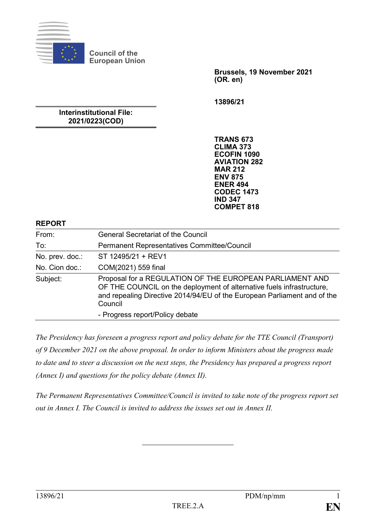

**Council of the European Union**

> **Brussels, 19 November 2021 (OR. en)**

**13896/21**

### **Interinstitutional File: 2021/0223(COD)**

**TRANS 673 CLIMA 373 ECOFIN 1090 AVIATION 282 MAR 212 ENV 875 ENER 494 CODEC 1473 IND 347 COMPET 818**

#### **REPORT**

| From:           | <b>General Secretariat of the Council</b>                                                                                                                                                                                |
|-----------------|--------------------------------------------------------------------------------------------------------------------------------------------------------------------------------------------------------------------------|
| To:             | Permanent Representatives Committee/Council                                                                                                                                                                              |
| No. prev. doc.: | ST 12495/21 + REV1                                                                                                                                                                                                       |
| No. Cion doc.:  | COM(2021) 559 final                                                                                                                                                                                                      |
| Subject:        | Proposal for a REGULATION OF THE EUROPEAN PARLIAMENT AND<br>OF THE COUNCIL on the deployment of alternative fuels infrastructure,<br>and repealing Directive 2014/94/EU of the European Parliament and of the<br>Council |
|                 | - Progress report/Policy debate                                                                                                                                                                                          |

*The Presidency has foreseen a progress report and policy debate for the TTE Council (Transport) of 9 December 2021 on the above proposal. In order to inform Ministers about the progress made to date and to steer a discussion on the next steps, the Presidency has prepared a progress report (Annex I) and questions for the policy debate (Annex II).*

*The Permanent Representatives Committee/Council is invited to take note of the progress report set out in Annex I. The Council is invited to address the issues set out in Annex II.*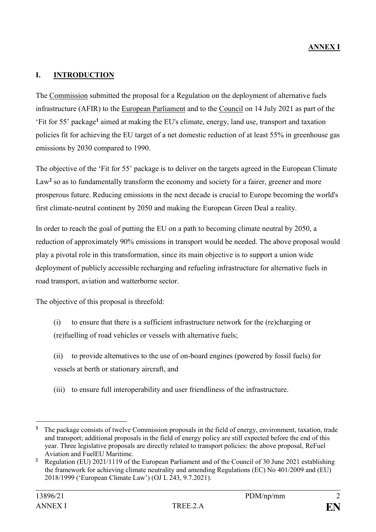## **I. INTRODUCTION**

The Commission submitted the proposal for a Regulation on the deployment of alternative fuels infrastructure (AFIR) to the European Parliament and to the Council on 14 July 2021 as part of the 'Fit for 55' package**<sup>1</sup>** aimed at making the EU's climate, energy, land use, transport and taxation policies fit for achieving the EU target of a net domestic reduction of at least 55% in greenhouse gas emissions by 2030 compared to 1990.

The objective of the 'Fit for 55' package is to deliver on the targets agreed in the European Climate Law<sup>2</sup> so as to fundamentally transform the economy and society for a fairer, greener and more prosperous future. Reducing emissions in the next decade is crucial to Europe becoming the world's first climate-neutral continent by 2050 and making the European Green Deal a reality.

In order to reach the goal of putting the EU on a path to becoming climate neutral by 2050, a reduction of approximately 90% emissions in transport would be needed. The above proposal would play a pivotal role in this transformation, since its main objective is to support a union wide deployment of publicly accessible recharging and refueling infrastructure for alternative fuels in road transport, aviation and watterborne sector.

The objective of this proposal is threefold:

- (i) to ensure that there is a sufficient infrastructure network for the (re)charging or (re)fuelling of road vehicles or vessels with alternative fuels;
- (ii) to provide alternatives to the use of on-board engines (powered by fossil fuels) for vessels at berth or stationary aircraft, and
- (iii) to ensure full interoperability and user friendliness of the infrastructure.

1

<sup>&</sup>lt;sup>1</sup> The package consists of twelve Commission proposals in the field of energy, environment, taxation, trade and transport; additional proposals in the field of energy policy are still expected before the end of this year. Three legislative proposals are directly related to transport policies: the above proposal, ReFuel Aviation and FuelEU Maritime.

<sup>&</sup>lt;sup>2</sup> Regulation (EU) 2021/1119 of the European Parliament and of the Council of 30 June 2021 establishing the framework for achieving climate neutrality and amending Regulations (EC) No 401/2009 and (EU) 2018/1999 ('European Climate Law') (OJ L 243, 9.7.2021).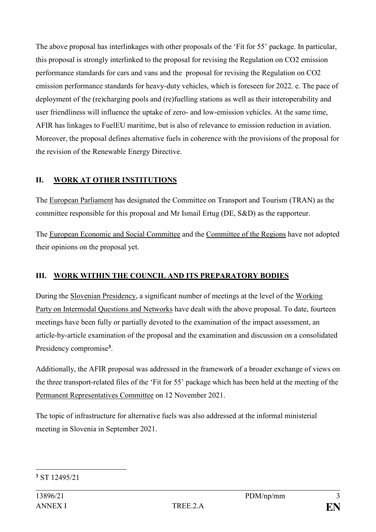The above proposal has interlinkages with other proposals of the 'Fit for 55' package. In particular, this proposal is strongly interlinked to the proposal for revising the Regulation on CO2 emission performance standards for cars and vans and the proposal for revising the Regulation on CO2 emission performance standards for heavy-duty vehicles, which is foreseen for 2022. e. The pace of deployment of the (re)charging pools and (re)fuelling stations as well as their interoperability and user friendliness will influence the uptake of zero- and low-emission vehicles. At the same time, AFIR has linkages to FuelEU maritime, but is also of relevance to emission reduction in aviation. Moreover, the proposal defines alternative fuels in coherence with the provisions of the proposal for the revision of the Renewable Energy Directive.

# **II. WORK AT OTHER INSTITUTIONS**

The European Parliament has designated the Committee on Transport and Tourism (TRAN) as the committee responsible for this proposal and Mr Ismail Ertug (DE, S&D) as the rapporteur.

The European Economic and Social Committee and the Committee of the Regions have not adopted their opinions on the proposal yet.

## **III. WORK WITHIN THE COUNCIL AND ITS PREPARATORY BODIES**

During the Slovenian Presidency, a significant number of meetings at the level of the Working Party on Intermodal Questions and Networks have dealt with the above proposal. To date, fourteen meetings have been fully or partially devoted to the examination of the impact assessment, an article-by-article examination of the proposal and the examination and discussion on a consolidated Presidency compromise**<sup>3</sup>** .

Additionally, the AFIR proposal was addressed in the framework of a broader exchange of views on the three transport-related files of the 'Fit for 55' package which has been held at the meeting of the Permanent Representatives Committee on 12 November 2021.

The topic of infrastructure for alternative fuels was also addressed at the informal ministerial meeting in Slovenia in September 2021.

<sup>&</sup>lt;u>.</u> **<sup>3</sup>** ST 12495/21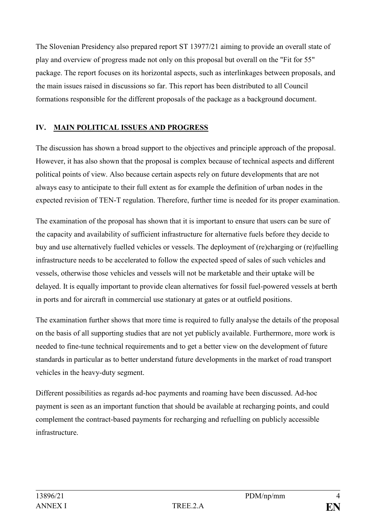The Slovenian Presidency also prepared report ST 13977/21 aiming to provide an overall state of play and overview of progress made not only on this proposal but overall on the "Fit for 55" package. The report focuses on its horizontal aspects, such as interlinkages between proposals, and the main issues raised in discussions so far. This report has been distributed to all Council formations responsible for the different proposals of the package as a background document.

# **IV. MAIN POLITICAL ISSUES AND PROGRESS**

The discussion has shown a broad support to the objectives and principle approach of the proposal. However, it has also shown that the proposal is complex because of technical aspects and different political points of view. Also because certain aspects rely on future developments that are not always easy to anticipate to their full extent as for example the definition of urban nodes in the expected revision of TEN-T regulation. Therefore, further time is needed for its proper examination.

The examination of the proposal has shown that it is important to ensure that users can be sure of the capacity and availability of sufficient infrastructure for alternative fuels before they decide to buy and use alternatively fuelled vehicles or vessels. The deployment of (re)charging or (re)fuelling infrastructure needs to be accelerated to follow the expected speed of sales of such vehicles and vessels, otherwise those vehicles and vessels will not be marketable and their uptake will be delayed. It is equally important to provide clean alternatives for fossil fuel-powered vessels at berth in ports and for aircraft in commercial use stationary at gates or at outfield positions.

The examination further shows that more time is required to fully analyse the details of the proposal on the basis of all supporting studies that are not yet publicly available. Furthermore, more work is needed to fine-tune technical requirements and to get a better view on the development of future standards in particular as to better understand future developments in the market of road transport vehicles in the heavy-duty segment.

Different possibilities as regards ad-hoc payments and roaming have been discussed. Ad-hoc payment is seen as an important function that should be available at recharging points, and could complement the contract-based payments for recharging and refuelling on publicly accessible infrastructure.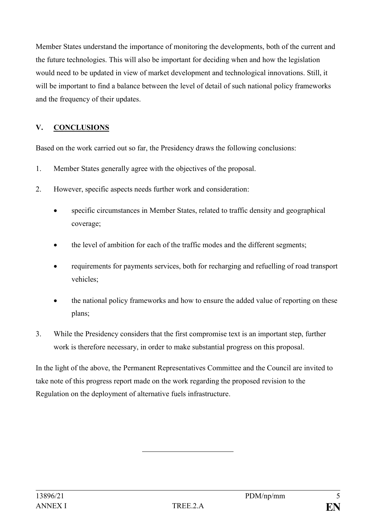Member States understand the importance of monitoring the developments, both of the current and the future technologies. This will also be important for deciding when and how the legislation would need to be updated in view of market development and technological innovations. Still, it will be important to find a balance between the level of detail of such national policy frameworks and the frequency of their updates.

# **V. CONCLUSIONS**

Based on the work carried out so far, the Presidency draws the following conclusions:

- 1. Member States generally agree with the objectives of the proposal.
- 2. However, specific aspects needs further work and consideration:
	- specific circumstances in Member States, related to traffic density and geographical coverage;
	- the level of ambition for each of the traffic modes and the different segments;
	- requirements for payments services, both for recharging and refuelling of road transport vehicles;
	- the national policy frameworks and how to ensure the added value of reporting on these plans;
- 3. While the Presidency considers that the first compromise text is an important step, further work is therefore necessary, in order to make substantial progress on this proposal.

In the light of the above, the Permanent Representatives Committee and the Council are invited to take note of this progress report made on the work regarding the proposed revision to the Regulation on the deployment of alternative fuels infrastructure.